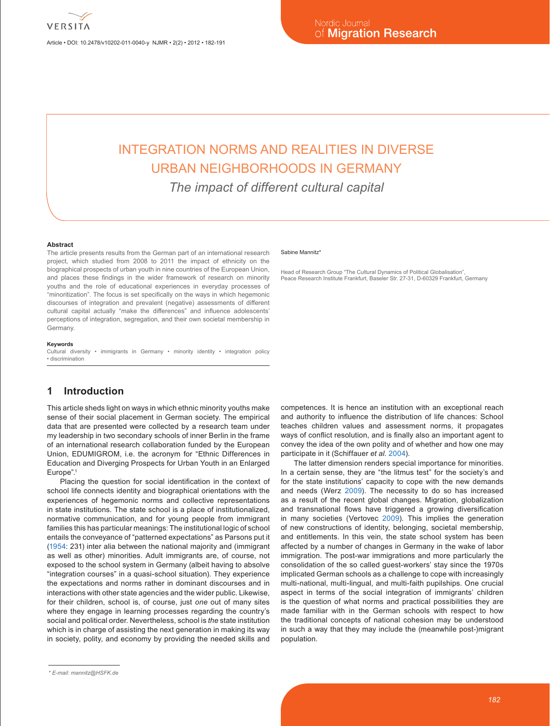Article • DOI: 10.2478/v10202-011-0040-y NJMR • 2(2) • 2012 • 182-191

# INTEGRATION NORMS AND REALITIES IN DIVERSE URBAN NEIGHBORHOODS IN GERMANY

*The impact of different cultural capital*

#### **Abstract**

The article presents results from the German part of an international research project, which studied from 2008 to 2011 the impact of ethnicity on the biographical prospects of urban youth in nine countries of the European Union, and places these findings in the wider framework of research on minority youths and the role of educational experiences in everyday processes of "minoritization". The focus is set specifically on the ways in which hegemonic discourses of integration and prevalent (negative) assessments of different cultural capital actually "make the differences" and influence adolescents' perceptions of integration, segregation, and their own societal membership in Germany.

#### **Keywords**

Cultural diversity • immigrants in Germany • minority identity • integration policy • discrimination

# **1 Introduction**

This article sheds light on ways in which ethnic minority youths make sense of their social placement in German society. The empirical data that are presented were collected by a research team under my leadership in two secondary schools of inner Berlin in the frame of an international research collaboration funded by the European Union, EDUMIGROM, i.e. the acronym for "Ethnic Differences in Education and Diverging Prospects for Urban Youth in an Enlarged Europe".1

Placing the question for social identification in the context of school life connects identity and biographical orientations with the experiences of hegemonic norms and collective representations in state institutions. The state school is a place of institutionalized, normative communication, and for young people from immigrant families this has particular meanings: The institutional logic of school entails the conveyance of "patterned expectations" as Parsons put it [\(1954](#page-9-0): 231) inter alia between the national majority and (immigrant as well as other) minorities. Adult immigrants are, of course, not exposed to the school system in Germany (albeit having to absolve "integration courses" in a quasi-school situation). They experience the expectations and norms rather in dominant discourses and in interactions with other state agencies and the wider public. Likewise, for their children, school is, of course, just *one* out of many sites where they engage in learning processes regarding the country's social and political order. Nevertheless, school is *the* state institution which is in charge of assisting the next generation in making its way in society, polity, and economy by providing the needed skills and

#### Sabine Mannitz<sup>\*</sup>

Head of Research Group "The Cultural Dynamics of Political Globalisation", Peace Research Institute Frankfurt, Baseler Str. 27-31, D-60329 Frankfurt, Germany

competences. It is hence an institution with an exceptional reach and authority to influence the distribution of life chances: School teaches children values and assessment norms, it propagates ways of conflict resolution, and is finally also an important agent to convey the idea of the own polity and of whether and how one may participate in it (Schiffauer *et al.* [2004](#page-9-1)).

The latter dimension renders special importance for minorities. In a certain sense, they are "the litmus test" for the society's and for the state institutions' capacity to cope with the new demands and needs (Werz [2009\)](#page-9-2). The necessity to do so has increased as a result of the recent global changes. Migration, globalization and transnational flows have triggered a growing diversification in many societies (Vertovec [2009](#page-9-3)). This implies the generation of new constructions of identity, belonging, societal membership, and entitlements. In this vein, the state school system has been affected by a number of changes in Germany in the wake of labor immigration. The post-war immigrations and more particularly the consolidation of the so called guest-workers' stay since the 1970s implicated German schools as a challenge to cope with increasingly multi-national, multi-lingual, and multi-faith pupilships. One crucial aspect in terms of the social integration of immigrants' children is the question of what norms and practical possibilities they are made familiar with in the German schools with respect to how the traditional concepts of national cohesion may be understood in such a way that they may include the (meanwhile post-)migrant population.

*<sup>\*</sup> E-mail: mannitz@HSFK.de*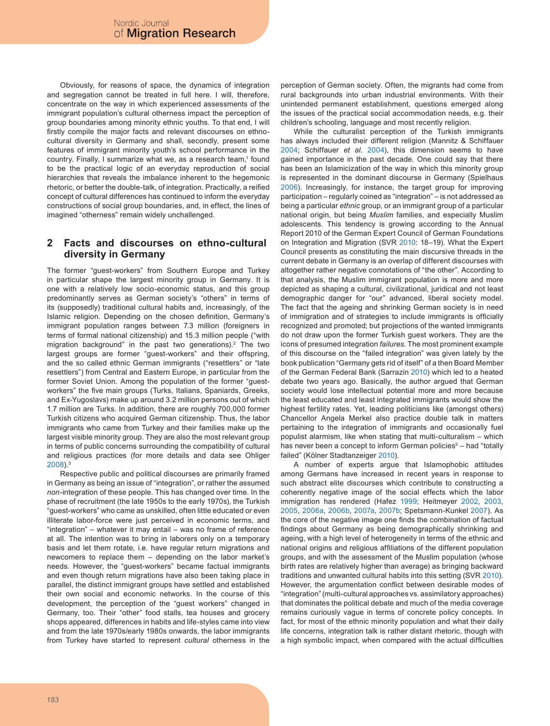Obviously, for reasons of space, the dynamics of integration and segregation cannot be treated in full here. I will, therefore, concentrate on the way in which experienced assessments of the immigrant population's cultural otherness impact the perception of group boundaries among minority ethnic youths. To that end, I will firstly compile the major facts and relevant discourses on ethnocultural diversity in Germany and shall, secondly, present some features of immigrant minority youth's school performance in the country. Finally, I summarize what we, as a research team,1 found to be the practical logic of an everyday reproduction of social hierarchies that reveals the imbalance inherent to the hegemonic rhetoric, or better the double-talk, of integration. Practically, a reified concept of cultural differences has continued to inform the everyday constructions of social group boundaries, and, in effect, the lines of imagined "otherness" remain widely unchallenged.

## **2 Facts and discourses on ethno-cultural diversity in Germany**

The former "guest-workers" from Southern Europe and Turkey in particular shape the largest minority group in Germany. It is one with a relatively low socio-economic status, and this group predominantly serves as German society's "others" in terms of its (supposedly) traditional cultural habits and, increasingly, of the Islamic religion. Depending on the chosen definition, Germany's immigrant population ranges between 7.3 million (foreigners in terms of formal national citizenship) and 15.3 million people ("with migration background" in the past two generations).2 The two largest groups are former "guest-workers" and their offspring, and the so called ethnic German immigrants ("resettlers" or "late resettlers") from Central and Eastern Europe, in particular from the former Soviet Union. Among the population of the former "guestworkers" the five main groups (Turks, Italians, Spaniards, Greeks, and Ex-Yugoslavs) make up around 3.2 million persons out of which 1.7 million are Turks. In addition, there are roughly 700,000 former Turkish citizens who acquired German citizenship. Thus, the labor immigrants who came from Turkey and their families make up the largest visible minority group. They are also the most relevant group in terms of public concerns surrounding the compatibility of cultural and religious practices (for more details and data see Ohliger [2008](#page-9-4)).3

Respective public and political discourses are primarily framed in Germany as being an issue of "integration", or rather the assumed *non-*integration of these people. This has changed over time. In the phase of recruitment (the late 1950s to the early 1970s), the Turkish "guest-workers" who came as unskilled, often little educated or even illiterate labor-force were just perceived in economic terms, and "integration" – whatever it may entail – was no frame of reference at all. The intention was to bring in laborers only on a temporary basis and let them rotate, i.e. have regular return migrations and newcomers to replace them – depending on the labor market's needs. However, the "guest-workers" became factual immigrants and even though return migrations have also been taking place in parallel, the distinct immigrant groups have settled and established their own social and economic networks. In the course of this development, the perception of the "guest workers" changed in Germany, too. Their "other" food stalls, tea houses and grocery shops appeared, differences in habits and life-styles came into view and from the late 1970s/early 1980s onwards, the labor immigrants from Turkey have started to represent *cultural* otherness in the perception of German society. Often, the migrants had come from rural backgrounds into urban industrial environments. With their unintended permanent establishment, questions emerged along the issues of the practical social accommodation needs, e.g. their children's schooling, language and most recently religion.

While the culturalist perception of the Turkish immigrants has always included their different religion (Mannitz & Schiffauer [2004](#page-9-5); Schiffauer *et al.* [2004](#page-9-1)), this dimension seems to have gained importance in the past decade. One could say that there has been an Islamicization of the way in which this minority group is represented in the dominant discourse in Germany (Spielhaus [2006](#page-9-6)). Increasingly, for instance, the target group for improving participation – regularly coined as "integration" – is not addressed as being a particular *ethnic* group, or an immigrant group of a particular national origin, but being *Muslim* families, and especially Muslim adolescents. This tendency is growing according to the Annual Report 2010 of the German Expert Council of German Foundations on Integration and Migration (SVR [2010](#page-9-7): 18–19). What the Expert Council presents as constituting the main discursive threads in the current debate in Germany is an overlap of different discourses with altogether rather negative connotations of "the other". According to that analysis, the Muslim immigrant population is more and more depicted as shaping a cultural, civilizational, juridical and not least demographic danger for "our" advanced, liberal society model. The fact that the ageing and shrinking German society is in need of immigration and of strategies to include immigrants is officially recognized and promoted; but projections of the wanted immigrants do not draw upon the former Turkish guest workers. They are the icons of presumed integration *failures*. The most prominent example of this discourse on the "failed integration" was given lately by the book publication "Germany gets rid of itself" of a then Board Member of the German Federal Bank (Sarrazin [2010\)](#page-9-8) which led to a heated debate two years ago. Basically, the author argued that German society would lose intellectual potential more and more because the least educated and least integrated immigrants would show the highest fertility rates. Yet, leading politicians like (amongst others) Chancellor Angela Merkel also practice double talk in matters pertaining to the integration of immigrants and occasionally fuel populist alarmism, like when stating that multi-culturalism – which has never been a concept to inform German policies<sup>5</sup> – had "totally failed" (Kölner Stadtanzeiger [2010](#page-8-0)).

A number of experts argue that Islamophobic attitudes among Germans have increased in recent years in response to such abstract elite discourses which contribute to constructing a coherently negative image of the social effects which the labor immigration has rendered (Hafez [1999;](#page-8-1) Heitmeyer [2002,](#page-8-2) [2003,](#page-8-3) [2005](#page-8-4), [2006](#page-8-5)a, [2006b,](#page-8-6) [2007](#page-8-7)a, [2007b](#page-8-8); Spetsmann-Kunkel [2007](#page-9-9)). As the core of the negative image one finds the combination of factual findings about Germany as being demographically shrinking and ageing, with a high level of heterogeneity in terms of the ethnic and national origins and religious affiliations of the different population groups, and with the assessment of the Muslim population (whose birth rates are relatively higher than average) as bringing backward traditions and unwanted cultural habits into this setting (SVR [2010](#page-9-7)). However, the argumentation conflict between desirable modes of "integration" (multi-cultural approaches vs. assimilatory approaches) that dominates the political debate and much of the media coverage remains curiously vague in terms of concrete policy concepts. In fact, for most of the ethnic minority population and what their daily life concerns, integration talk is rather distant rhetoric, though with a high symbolic impact, when compared with the actual difficulties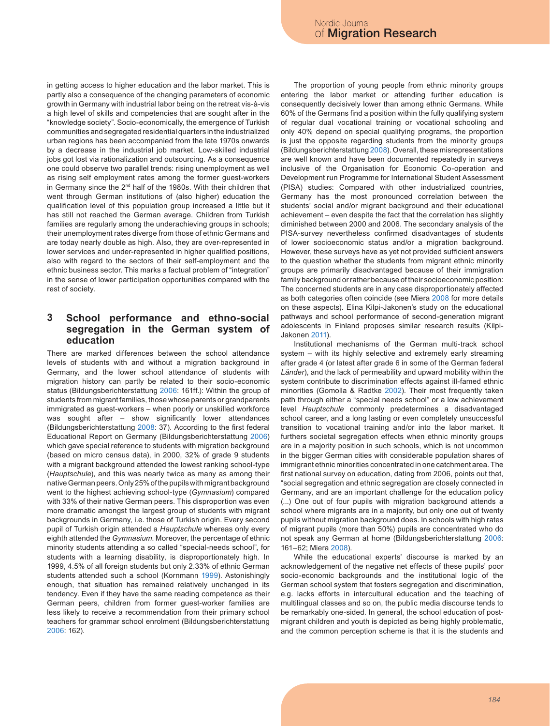in getting access to higher education and the labor market. This is partly also a consequence of the changing parameters of economic growth in Germany with industrial labor being on the retreat vis-à-vis a high level of skills and competencies that are sought after in the "knowledge society". Socio-economically, the emergence of Turkish communities and segregated residential quarters in the industrialized urban regions has been accompanied from the late 1970s onwards by a decrease in the industrial job market. Low-skilled industrial jobs got lost via rationalization and outsourcing. As a consequence one could observe two parallel trends: rising unemployment as well as rising self employment rates among the former guest-workers in Germany since the 2<sup>nd</sup> half of the 1980s. With their children that went through German institutions of (also higher) education the qualification level of this population group increased a little but it has still not reached the German average. Children from Turkish families are regularly among the underachieving groups in schools; their unemployment rates diverge from those of ethnic Germans and are today nearly double as high. Also, they are over-represented in lower services and under-represented in higher qualified positions, also with regard to the sectors of their self-employment and the ethnic business sector. This marks a factual problem of "integration" in the sense of lower participation opportunities compared with the rest of society.

## **3 School performance and ethno-social segregation in the German system of education**

There are marked differences between the school attendance levels of students with and without a migration background in Germany, and the lower school attendance of students with migration history can partly be related to their socio-economic status (Bildungsberichterstattung [2006:](#page-8-9) 161ff.): Within the group of students from migrant families, those whose parents or grandparents immigrated as guest-workers – when poorly or unskilled workforce was sought after – show significantly lower attendances (Bildungsberichterstattung [2008](#page-8-10): 37). According to the first federal Educational Report on Germany (Bildungsberichterstattung [2006](#page-8-9)) which gave special reference to students with migration background (based on micro census data), in 2000, 32% of grade 9 students with a migrant background attended the lowest ranking school-type (*Hauptschule*), and this was nearly twice as many as among their native German peers. Only 25% of the pupils with migrant background went to the highest achieving school-type (*Gymnasium*) compared with 33% of their native German peers. This disproportion was even more dramatic amongst the largest group of students with migrant backgrounds in Germany, i.e. those of Turkish origin. Every second pupil of Turkish origin attended a *Hauptschule* whereas only every eighth attended the *Gymnasium*. Moreover, the percentage of ethnic minority students attending a so called "special-needs school", for students with a learning disability, is disproportionately high. In 1999, 4.5% of all foreign students but only 2.33% of ethnic German students attended such a school (Kornmann [1999\)](#page-8-11). Astonishingly enough, that situation has remained relatively unchanged in its tendency. Even if they have the same reading competence as their German peers, children from former guest-worker families are less likely to receive a recommendation from their primary school teachers for grammar school enrolment (Bildungsberichterstattung [2006](#page-8-9): 162).

The proportion of young people from ethnic minority groups entering the labor market or attending further education is consequently decisively lower than among ethnic Germans. While 60% of the Germans find a position within the fully qualifying system of regular dual vocational training or vocational schooling and only 40% depend on special qualifying programs, the proportion is just the opposite regarding students from the minority groups (Bildungsberichterstattung [2008](#page-8-10)). Overall, these misrepresentations are well known and have been documented repeatedly in surveys inclusive of the Organisation for Economic Co-operation and Development run Programme for International Student Assessment (PISA) studies: Compared with other industrialized countries, Germany has the most pronounced correlation between the students' social and/or migrant background and their educational achievement – even despite the fact that the correlation has slightly diminished between 2000 and 2006. The secondary analysis of the PISA-survey nevertheless confirmed disadvantages of students of lower socioeconomic status and/or a migration background. However, these surveys have as yet not provided sufficient answers to the question whether the students from migrant ethnic minority groups are primarily disadvantaged because of their immigration family background or rather because of their socioeconomic position: The concerned students are in any case disproportionately affected as both categories often coincide (see Miera [2008](#page-9-10) for more details on these aspects). Elina Kilpi-Jakonen's study on the educational pathways and school performance of second-generation migrant adolescents in Finland proposes similar research results (Kilpi-Jakonen [2011\)](#page-8-12).

Institutional mechanisms of the German multi-track school system – with its highly selective and extremely early streaming after grade 4 (or latest after grade 6 in some of the German federal *Länder*), and the lack of permeability and upward mobility within the system contribute to discrimination effects against ill-famed ethnic minorities (Gomolla & Radtke [2002\)](#page-8-13). Their most frequently taken path through either a "special needs school" or a low achievement level *Hauptschule* commonly predetermines a disadvantaged school career, and a long lasting or even completely unsuccessful transition to vocational training and/or into the labor market. It furthers societal segregation effects when ethnic minority groups are in a majority position in such schools, which is not uncommon in the bigger German cities with considerable population shares of immigrant ethnic minorities concentrated in one catchment area. The first national survey on education, dating from 2006, points out that, "social segregation and ethnic segregation are closely connected in Germany, and are an important challenge for the education policy (...) One out of four pupils with migration background attends a school where migrants are in a majority, but only one out of twenty pupils without migration background does. In schools with high rates of migrant pupils (more than 50%) pupils are concentrated who do not speak any German at home (Bildungsberichterstattung [2006](#page-8-9): 161–62; Miera [2008\)](#page-9-10).

While the educational experts' discourse is marked by an acknowledgement of the negative net effects of these pupils' poor socio-economic backgrounds and the institutional logic of the German school system that fosters segregation and discrimination, e.g. lacks efforts in intercultural education and the teaching of multilingual classes and so on, the public media discourse tends to be remarkably one-sided. In general, the school education of postmigrant children and youth is depicted as being highly problematic, and the common perception scheme is that it is the students and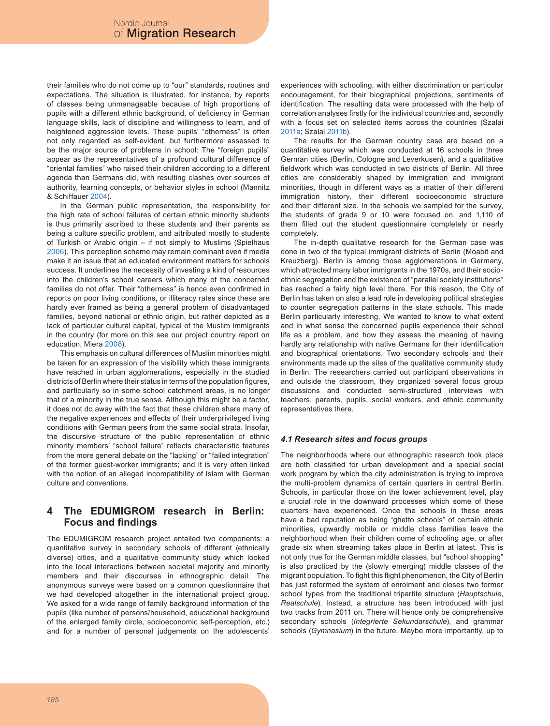their families who do not come up to "our" standards, routines and expectations. The situation is illustrated, for instance, by reports of classes being unmanageable because of high proportions of pupils with a different ethnic background, of deficiency in German language skills, lack of discipline and willingness to learn, and of heightened aggression levels. These pupils' "otherness" is often not only regarded as self-evident, but furthermore assessed to be the major source of problems in school: The "foreign pupils" appear as the representatives of a profound cultural difference of "oriental families" who raised their children according to a different agenda than Germans did, with resulting clashes over sources of authority, learning concepts, or behavior styles in school (Mannitz & Schiffauer [2004](#page-9-5)).

In the German public representation, the responsibility for the high rate of school failures of certain ethnic minority students is thus primarily ascribed to these students and their parents as being a culture specific problem, and attributed mostly to students of Turkish or Arabic origin – if not simply to Muslims (Spielhaus [2006](#page-9-6)). This perception scheme may remain dominant even if media make it an issue that an educated environment matters for schools success. It underlines the necessity of investing a kind of resources into the children's school careers which many of the concerned families do not offer. Their "otherness" is hence even confirmed in reports on poor living conditions, or illiteracy rates since these are hardly ever framed as being a general problem of disadvantaged families, beyond national or ethnic origin, but rather depicted as a lack of particular cultural capital, typical of the Muslim immigrants in the country (for more on this see our project country report on education, Miera [2008\)](#page-9-10).

This emphasis on cultural differences of Muslim minorities might be taken for an expression of the visibility which these immigrants have reached in urban agglomerations, especially in the studied districts of Berlin where their status in terms of the population figures, and particularly so in some school catchment areas, is no longer that of a minority in the true sense. Although this might be a factor, it does not do away with the fact that these children share many of the negative experiences and effects of their underprivileged living conditions with German peers from the same social strata. Insofar, the discursive structure of the public representation of ethnic minority members' "school failure" reflects characteristic features from the more general debate on the "lacking" or "failed integration" of the former guest-worker immigrants; and it is very often linked with the notion of an alleged incompatibility of Islam with German culture and conventions.

# **4 The EDUMIGROM research in Berlin: Focus and findings**

The EDUMIGROM research project entailed two components: a quantitative survey in secondary schools of different (ethnically diverse) cities, and a qualitative community study which looked into the local interactions between societal majority and minority members and their discourses in ethnographic detail. The anonymous surveys were based on a common questionnaire that we had developed altogether in the international project group. We asked for a wide range of family background information of the pupils (like number of persons/household, educational background of the enlarged family circle, socioeconomic self-perception, etc.) and for a number of personal judgements on the adolescents' experiences with schooling, with either discrimination or particular encouragement, for their biographical projections, sentiments of identification. The resulting data were processed with the help of correlation analyses firstly for the individual countries and, secondly with a focus set on selected items across the countries (Szalai [2011](#page-9-11)a; Szalai [2011b](#page-9-12)).

The results for the German country case are based on a quantitative survey which was conducted at 16 schools in three German cities (Berlin, Cologne and Leverkusen), and a qualitative fieldwork which was conducted in two districts of Berlin. All three cities are considerably shaped by immigration and immigrant minorities, though in different ways as a matter of their different immigration history, their different socioeconomic structure and their different size. In the schools we sampled for the survey, the students of grade 9 or 10 were focused on, and 1,110 of them filled out the student questionnaire completely or nearly completely.

The in-depth qualitative research for the German case was done in two of the typical immigrant districts of Berlin (Moabit and Kreuzberg). Berlin is among those agglomerations in Germany, which attracted many labor immigrants in the 1970s, and their socioethnic segregation and the existence of "parallel society institutions" has reached a fairly high level there. For this reason, the City of Berlin has taken on also a lead role in developing political strategies to counter segregation patterns in the state schools. This made Berlin particularly interesting. We wanted to know to what extent and in what sense the concerned pupils experience their school life as a problem, and how they assess the meaning of having hardly any relationship with native Germans for their identification and biographical orientations. Two secondary schools and their environments made up the sites of the qualitative community study in Berlin. The researchers carried out participant observations in and outside the classroom, they organized several focus group discussions and conducted semi-structured interviews with teachers, parents, pupils, social workers, and ethnic community representatives there.

## *4.1 Research sites and focus groups*

The neighborhoods where our ethnographic research took place are both classified for urban development and a special social work program by which the city administration is trying to improve the multi-problem dynamics of certain quarters in central Berlin. Schools, in particular those on the lower achievement level, play a crucial role in the downward processes which some of these quarters have experienced. Once the schools in these areas have a bad reputation as being "ghetto schools" of certain ethnic minorities, upwardly mobile or middle class families leave the neighborhood when their children come of schooling age, or after grade six when streaming takes place in Berlin at latest. This is not only true for the German middle classes, but "school shopping" is also practiced by the (slowly emerging) middle classes of the migrant population. To fight this flight phenomenon, the City of Berlin has just reformed the system of enrolment and closes two former school types from the traditional tripartite structure (*Hauptschule*, *Realschule*). Instead, a structure has been introduced with just two tracks from 2011 on. There will hence only be comprehensive secondary schools (*Integrierte Sekundarschule*), and grammar schools (*Gymnasium*) in the future. Maybe more importantly, up to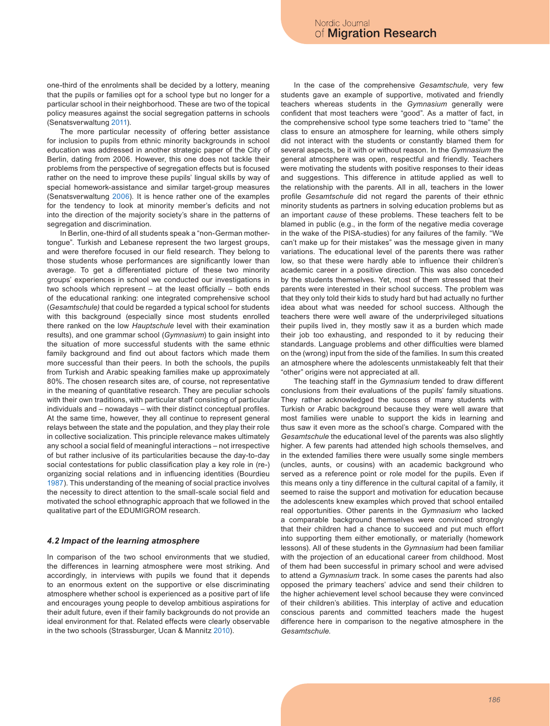one-third of the enrolments shall be decided by a lottery, meaning that the pupils or families opt for a school type but no longer for a particular school in their neighborhood. These are two of the topical policy measures against the social segregation patterns in schools (Senatsverwaltung [2011](#page-9-13)).

The more particular necessity of offering better assistance for inclusion to pupils from ethnic minority backgrounds in school education was addressed in another strategic paper of the City of Berlin, dating from 2006. However, this one does not tackle their problems from the perspective of segregation effects but is focused rather on the need to improve these pupils' lingual skills by way of special homework-assistance and similar target-group measures (Senatsverwaltung [2006](#page-9-14)). It is hence rather one of the examples for the tendency to look at minority member's deficits and not into the direction of the majority society's share in the patterns of segregation and discrimination.

In Berlin, one-third of all students speak a "non-German mothertongue". Turkish and Lebanese represent the two largest groups, and were therefore focused in our field research. They belong to those students whose performances are significantly lower than average. To get a differentiated picture of these two minority groups' experiences in school we conducted our investigations in two schools which represent – at the least officially – both ends of the educational ranking: one integrated comprehensive school (*Gesamtschule)* that could be regarded a typical school for students with this background (especially since most students enrolled there ranked on the low *Hauptschule* level with their examination results), and one grammar school (*Gymnasium*) to gain insight into the situation of more successful students with the same ethnic family background and find out about factors which made them more successful than their peers. In both the schools, the pupils from Turkish and Arabic speaking families make up approximately 80%. The chosen research sites are, of course, not representative in the meaning of quantitative research. They are peculiar schools with their own traditions, with particular staff consisting of particular individuals and – nowadays – with their distinct conceptual profiles. At the same time, however, they all continue to represent general relays between the state and the population, and they play their role in collective socialization. This principle relevance makes ultimately any school a social field of meaningful interactions – not irrespective of but rather inclusive of its particularities because the day-to-day social contestations for public classification play a key role in (re-) organizing social relations and in influencing identities (Bourdieu [1987\)](#page-8-14). This understanding of the meaning of social practice involves the necessity to direct attention to the small-scale social field and motivated the school ethnographic approach that we followed in the qualitative part of the EDUMIGROM research.

## *4.2 Impact of the learning atmosphere*

In comparison of the two school environments that we studied. the differences in learning atmosphere were most striking. And accordingly, in interviews with pupils we found that it depends to an enormous extent on the supportive or else discriminating atmosphere whether school is experienced as a positive part of life and encourages young people to develop ambitious aspirations for their adult future, even if their family backgrounds do not provide an ideal environment for that. Related effects were clearly observable in the two schools (Strassburger, Ucan & Mannitz [2010\)](#page-9-15).

In the case of the comprehensive *Gesamtschule,* very few students gave an example of supportive, motivated and friendly teachers whereas students in the *Gymnasium* generally were confident that most teachers were "good". As a matter of fact, in the comprehensive school type some teachers tried to "tame" the class to ensure an atmosphere for learning, while others simply did not interact with the students or constantly blamed them for several aspects, be it with or without reason. In the *Gymnasium* the general atmosphere was open, respectful and friendly. Teachers were motivating the students with positive responses to their ideas and suggestions. This difference in attitude applied as well to the relationship with the parents. All in all, teachers in the lower profile *Gesamtschule* did not regard the parents of their ethnic minority students as partners in solving education problems but as an important *cause* of these problems. These teachers felt to be blamed in public (e.g., in the form of the negative media coverage in the wake of the PISA-studies) for any failures of the family. "We can't make up for their mistakes" was the message given in many variations. The educational level of the parents there was rather low, so that these were hardly able to influence their children's academic career in a positive direction. This was also conceded by the students themselves. Yet, most of them stressed that their parents were interested in their school success. The problem was that they only told their kids to study hard but had actually no further idea about what was needed for school success. Although the teachers there were well aware of the underprivileged situations their pupils lived in, they mostly saw it as a burden which made their job too exhausting, and responded to it by reducing their standards. Language problems and other difficulties were blamed on the (wrong) input from the side of the families. In sum this created an atmosphere where the adolescents unmistakeably felt that their "other" origins were not appreciated at all.

The teaching staff in the *Gymnasium* tended to draw different conclusions from their evaluations of the pupils' family situations. They rather acknowledged the success of many students with Turkish or Arabic background because they were well aware that most families were unable to support the kids in learning and thus saw it even more as the school's charge. Compared with the *Gesamtschule* the educational level of the parents was also slightly higher. A few parents had attended high schools themselves, and in the extended families there were usually some single members (uncles, aunts, or cousins) with an academic background who served as a reference point or role model for the pupils. Even if this means only a tiny difference in the cultural capital of a family, it seemed to raise the support and motivation for education because the adolescents knew examples which proved that school entailed real opportunities. Other parents in the *Gymnasium* who lacked a comparable background themselves were convinced strongly that their children had a chance to succeed and put much effort into supporting them either emotionally, or materially (homework lessons). All of these students in the *Gymnasium* had been familiar with the projection of an educational career from childhood. Most of them had been successful in primary school and were advised to attend a *Gymnasium* track. In some cases the parents had also opposed the primary teachers' advice and send their children to the higher achievement level school because they were convinced of their children's abilities. This interplay of active and education conscious parents and committed teachers made the hugest difference here in comparison to the negative atmosphere in the *Gesamtschule*.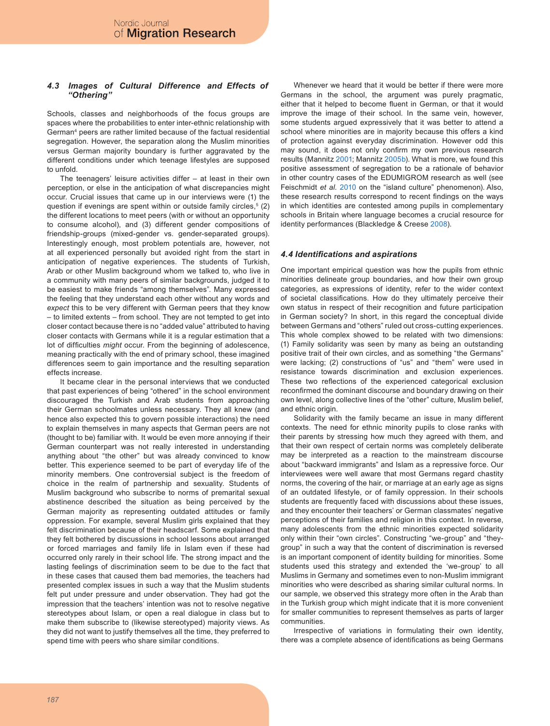## *4.3 Images of Cultural Difference and Effects of "Othering"*

Schools, classes and neighborhoods of the focus groups are spaces where the probabilities to enter inter-ethnic relationship with German4 peers are rather limited because of the factual residential segregation. However, the separation along the Muslim minorities versus German majority boundary is further aggravated by the different conditions under which teenage lifestyles are supposed to unfold.

The teenagers' leisure activities differ – at least in their own perception, or else in the anticipation of what discrepancies might occur. Crucial issues that came up in our interviews were (1) the question if evenings are spent within or outside family circles,<sup>5</sup> (2) the different locations to meet peers (with or without an opportunity to consume alcohol), and (3) different gender compositions of friendship-groups (mixed-gender vs. gender-separated groups). Interestingly enough, most problem potentials are, however, not at all experienced personally but avoided right from the start in anticipation of negative experiences. The students of Turkish, Arab or other Muslim background whom we talked to, who live in a community with many peers of similar backgrounds, judged it to be easiest to make friends "among themselves". Many expressed the feeling that they understand each other without any words and *expect* this to be very different with German peers that they know – to limited extents – from school. They are not tempted to get into closer contact because there is no "added value" attributed to having closer contacts with Germans while it is a regular estimation that a lot of difficulties *might* occur. From the beginning of adolescence, meaning practically with the end of primary school, these imagined differences seem to gain importance and the resulting separation effects increase.

It became clear in the personal interviews that we conducted that past experiences of being "othered" in the school environment discouraged the Turkish and Arab students from approaching their German schoolmates unless necessary. They all knew (and hence also expected this to govern possible interactions) the need to explain themselves in many aspects that German peers are not (thought to be) familiar with. It would be even more annoying if their German counterpart was not really interested in understanding anything about "the other" but was already convinced to know better. This experience seemed to be part of everyday life of the minority members. One controversial subject is the freedom of choice in the realm of partnership and sexuality. Students of Muslim background who subscribe to norms of premarital sexual abstinence described the situation as being perceived by the German majority as representing outdated attitudes or family oppression. For example, several Muslim girls explained that they felt discrimination because of their headscarf. Some explained that they felt bothered by discussions in school lessons about arranged or forced marriages and family life in Islam even if these had occurred only rarely in their school life. The strong impact and the lasting feelings of discrimination seem to be due to the fact that in these cases that caused them bad memories, the teachers had presented complex issues in such a way that the Muslim students felt put under pressure and under observation. They had got the impression that the teachers' intention was not to resolve negative stereotypes about Islam, or open a real dialogue in class but to make them subscribe to (likewise stereotyped) majority views. As they did not want to justify themselves all the time, they preferred to spend time with peers who share similar conditions.

Whenever we heard that it would be better if there were more Germans in the school, the argument was purely pragmatic, either that it helped to become fluent in German, or that it would improve the image of their school. In the same vein, however, some students argued expressively that it was better to attend a school where minorities are in majority because this offers a kind of protection against everyday discrimination. However odd this may sound, it does not only confirm my own previous research results (Mannitz [2001](#page-9-16); Mannitz [2005b](#page-9-17)). What is more, we found this positive assessment of segregation to be a rationale of behavior in other country cases of the EDUMIGROM research as well (see Feischmidt *et al.* [2010](#page-8-15) on the "island culture" phenomenon). Also, these research results correspond to recent findings on the ways in which identities are contested among pupils in complementary schools in Britain where language becomes a crucial resource for identity performances (Blackledge & Creese [2008](#page-8-16)).

## *4.4 Identifications and aspirations*

One important empirical question was how the pupils from ethnic minorities delineate group boundaries, and how their own group categories, as expressions of identity, refer to the wider context of societal classifications. How do they ultimately perceive their own status in respect of their recognition and future participation in German society? In short, in this regard the conceptual divide between Germans and "others" ruled out cross-cutting experiences. This whole complex showed to be related with two dimensions: (1) Family solidarity was seen by many as being an outstanding positive trait of their own circles, and as something "the Germans" were lacking; (2) constructions of "us" and "them" were used in resistance towards discrimination and exclusion experiences. These two reflections of the experienced categorical exclusion reconfirmed the dominant discourse and boundary drawing on their own level, along collective lines of the "other" culture, Muslim belief, and ethnic origin.

Solidarity with the family became an issue in many different contexts. The need for ethnic minority pupils to close ranks with their parents by stressing how much they agreed with them, and that their own respect of certain norms was completely deliberate may be interpreted as a reaction to the mainstream discourse about "backward immigrants" and Islam as a repressive force. Our interviewees were well aware that most Germans regard chastity norms, the covering of the hair, or marriage at an early age as signs of an outdated lifestyle, or of family oppression. In their schools students are frequently faced with discussions about these issues, and they encounter their teachers' or German classmates' negative perceptions of their families and religion in this context. In reverse, many adolescents from the ethnic minorities expected solidarity only within their "own circles". Constructing "we-group" and "theygroup" in such a way that the content of discrimination is reversed is an important component of identity building for minorities. Some students used this strategy and extended the 'we-group' to all Muslims in Germany and sometimes even to non-Muslim immigrant minorities who were described as sharing similar cultural norms. In our sample, we observed this strategy more often in the Arab than in the Turkish group which might indicate that it is more convenient for smaller communities to represent themselves as parts of larger communities.

Irrespective of variations in formulating their own identity, there was a complete absence of identifications as being Germans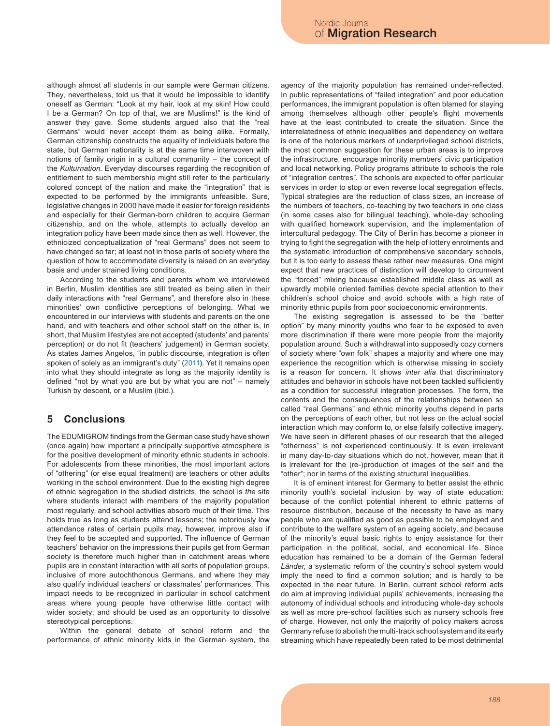although almost all students in our sample were German citizens. They, nevertheless, told us that it would be impossible to identify oneself as German: "Look at my hair, look at my skin! How could I be a German? On top of that, we are Muslims!" is the kind of answer they gave. Some students argued also that the "real Germans" would never accept them as being alike. Formally, German citizenship constructs the equality of individuals before the state, but German nationality is at the same time interwoven with notions of family origin in a cultural community – the concept of the *Kulturnation*. Everyday discourses regarding the recognition of entitlement to such membership might still refer to the particularly colored concept of the nation and make the "integration" that is expected to be performed by the immigrants unfeasible. Sure, legislative changes in 2000 have made it easier for foreign residents and especially for their German-born children to acquire German citizenship, and on the whole, attempts to actually develop an integration policy have been made since then as well. However, the ethnicized conceptualization of "real Germans" does not seem to have changed so far; at least not in those parts of society where the question of how to accommodate diversity is raised on an everyday basis and under strained living conditions.

According to the students and parents whom we interviewed in Berlin, Muslim identities are still treated as being alien in their daily interactions with "real Germans", and therefore also in these minorities' own conflictive perceptions of belonging. What we encountered in our interviews with students and parents on the one hand, and with teachers and other school staff on the other is, in short, that Muslim lifestyles are not accepted (students' and parents' perception) or do not fit (teachers' judgement) in German society. As states James Angelos, "in public discourse, integration is often spoken of solely as an immigrant's duty" [\(2011](#page-8-17)). Yet it remains open into what they should integrate as long as the majority identity is defined "not by what you are but by what you are not" – namely Turkish by descent, or a Muslim (ibid.).

# **5 Conclusions**

The EDUMIGROM findings from the German case study have shown (once again) how important a principally supportive atmosphere is for the positive development of minority ethnic students in schools. For adolescents from these minorities, the most important actors of "othering" (or else equal treatment) are teachers or other adults working in the school environment. Due to the existing high degree of ethnic segregation in the studied districts, the school is *the* site where students interact with members of the majority population most regularly, and school activities absorb much of their time. This holds true as long as students attend lessons; the notoriously low attendance rates of certain pupils may, however, improve also if they feel to be accepted and supported. The influence of German teachers' behavior on the impressions their pupils get from German society is therefore much higher than in catchment areas where pupils are in constant interaction with all sorts of population groups, inclusive of more autochthonous Germans, and where they may also qualify individual teachers' or classmates' performances. This impact needs to be recognized in particular in school catchment areas where young people have otherwise little contact with wider society; and should be used as an opportunity to dissolve stereotypical perceptions.

Within the general debate of school reform and the performance of ethnic minority kids in the German system, the agency of the majority population has remained under-reflected. In public representations of "failed integration" and poor education performances, the immigrant population is often blamed for staying among themselves although other people's flight movements have at the least contributed to create the situation. Since the interrelatedness of ethnic inequalities and dependency on welfare is one of the notorious markers of underprivileged school districts, the most common suggestion for these urban areas is to improve the infrastructure, encourage minority members' civic participation and local networking. Policy programs attribute to schools the role of "integration centres". The schools are expected to offer particular services in order to stop or even reverse local segregation effects. Typical strategies are the reduction of class sizes, an increase of the numbers of teachers, co-teaching by two teachers in one class (in some cases also for bilingual teaching), whole-day schooling with qualified homework supervision, and the implementation of intercultural pedagogy. The City of Berlin has become a pioneer in trying to fight the segregation with the help of lottery enrolments and the systematic introduction of comprehensive secondary schools, but it is too early to assess these rather new measures. One might expect that new practices of distinction will develop to circumvent the "forced" mixing because established middle class as well as upwardly mobile oriented families devote special attention to their children's school choice and avoid schools with a high rate of minority ethnic pupils from poor socioeconomic environments.

The existing segregation is assessed to be the "better option" by many minority youths who fear to be exposed to even more discrimination if there were more people from the majority population around. Such a withdrawal into supposedly cozy corners of society where "own folk" shapes a majority and where one may experience the recognition which is otherwise missing in society is a reason for concern. It shows *inter alia* that discriminatory attitudes and behavior in schools have not been tackled sufficiently as a condition for successful integration processes. The form, the contents and the consequences of the relationships between so called "real Germans" and ethnic minority youths depend in parts on the perceptions of each other, but not less on the actual social interaction which may conform to, or else falsify collective imagery. We have seen in different phases of our research that the alleged "otherness" is not experienced continuously. It is even irrelevant in many day-to-day situations which do not, however, mean that it is irrelevant for the (re-)production of images of the self and the "other"; nor in terms of the existing structural inequalities.

It is of eminent interest for Germany to better assist the ethnic minority youth's societal inclusion by way of state education: because of the conflict potential inherent to ethnic patterns of resource distribution, because of the necessity to have as many people who are qualified as good as possible to be employed and contribute to the welfare system of an ageing society, and because of the minority's equal basic rights to enjoy assistance for their participation in the political, social, and economical life. Since education has remained to be a domain of the German federal *Länder*, a systematic reform of the country's school system would imply the need to find a common solution; and is hardly to be expected in the near future. In Berlin, current school reform acts do aim at improving individual pupils' achievements, increasing the autonomy of individual schools and introducing whole-day schools as well as more pre-school facilities such as nursery schools free of charge. However, not only the majority of policy makers across Germany refuse to abolish the multi-track school system and its early streaming which have repeatedly been rated to be most detrimental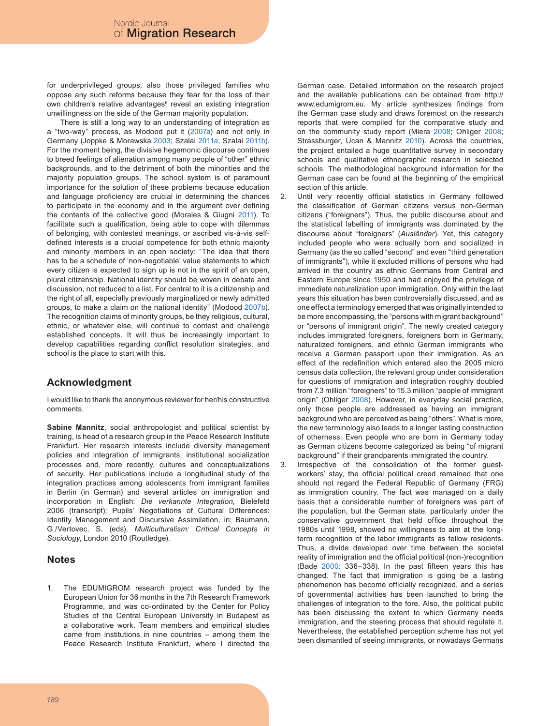for underprivileged groups; also those privileged families who oppose any such reforms because they fear for the loss of their own children's relative advantages<sup>6</sup> reveal an existing integration unwillingness on the side of the German majority population.

There is still a long way to an understanding of integration as a "two-way" process, as Modood put it [\(2007](#page-9-18)a) and not only in Germany (Joppke & Morawska [2003;](#page-8-18) Szalai [2011](#page-9-11)a; Szalai [2011b](#page-9-12)). For the moment being, the divisive hegemonic discourse continues to breed feelings of alienation among many people of "other" ethnic backgrounds, and to the detriment of both the minorities and the majority population groups. The school system is of paramount importance for the solution of these problems because education and language proficiency are crucial in determining the chances to participate in the economy and in the argument over defining the contents of the collective good (Morales & Giugni [2011\)](#page-9-19). To facilitate such a qualification, being able to cope with dilemmas of belonging, with contested meanings, or ascribed vis-à-vis selfdefined interests is a crucial competence for both ethnic majority and minority members in an open society: "The idea that there has to be a schedule of 'non-negotiable' value statements to which every citizen is expected to sign up is not in the spirit of an open, plural citizenship. National identity should be woven in debate and discussion, not reduced to a list. For central to it is a citizenship and the right of all, especially previously marginalized or newly admitted groups, to make a claim on the national identity" (Modood [2007b](#page-9-20)). The recognition claims of minority groups, be they religious, cultural, ethnic, or whatever else, will continue to contest and challenge established concepts. It will thus be increasingly important to develop capabilities regarding conflict resolution strategies, and school is the place to start with this.

# **Acknowledgment**

I would like to thank the anonymous reviewer for her/his constructive comments.

**Sabine Mannitz**, social anthropologist and political scientist by training, is head of a research group in the Peace Research Institute Frankfurt. Her research interests include diversity management policies and integration of immigrants, institutional socialization processes and, more recently, cultures and conceptualizations of security. Her publications include a longitudinal study of the integration practices among adolescents from immigrant families in Berlin (in German) and several articles on immigration and incorporation in English: *Die verkannte Integration*, Bielefeld 2006 (transcript); Pupils' Negotiations of Cultural Differences: Identity Management and Discursive Assimilation, in: Baumann, G./Vertovec, S. (eds), *Multiculturalism: Critical Concepts in Sociology*, London 2010 (Routledge).

# **Notes**

The EDUMIGROM research project was funded by the European Union for 36 months in the 7th Research Framework Programme, and was co-ordinated by the Center for Policy Studies of the Central European University in Budapest as a collaborative work. Team members and empirical studies came from institutions in nine countries – among them the Peace Research Institute Frankfurt, where I directed the 1.

German case. Detailed information on the research project and the available publications can be obtained from http:// www.edumigrom.eu. My article synthesizes findings from the German case study and draws foremost on the research reports that were compiled for the comparative study and on the community study report (Miera [2008](#page-9-10); Ohliger [2008](#page-9-4); Strassburger, Ucan & Mannitz [2010\)](#page-9-15). Across the countries, the project entailed a huge quantitative survey in secondary schools and qualitative ethnographic research in selected schools. The methodological background information for the German case can be found at the beginning of the empirical section of this article.

Until very recently official statistics in Germany followed the classification of German citizens versus non-German citizens ("foreigners"). Thus, the public discourse about and the statistical labelling of immigrants was dominated by the discourse about "foreigners" (*Ausländer*). Yet, this category included people who were actually born and socialized in Germany (as the so called "second" and even "third generation of immigrants"), while it excluded millions of persons who had arrived in the country as ethnic Germans from Central and Eastern Europe since 1950 and had enjoyed the privilege of immediate naturalization upon immigration. Only within the last years this situation has been controversially discussed, and as one effect a terminology emerged that was originally intended to be more encompassing, the "persons with migrant background" or "persons of immigrant origin". The newly created category includes immigrated foreigners, foreigners born in Germany, naturalized foreigners, and ethnic German immigrants who receive a German passport upon their immigration. As an effect of the redefinition which entered also the 2005 micro census data collection, the relevant group under consideration for questions of immigration and integration roughly doubled from 7.3 million "foreigners" to 15.3 million "people of immigrant origin" (Ohliger [2008\)](#page-9-4). However, in everyday social practice, only those people are addressed as having an immigrant background who are perceived as being "others". What is more, the new terminology also leads to a longer lasting construction of otherness: Even people who are born in Germany today as German citizens become categorized as being "of migrant background" if their grandparents immigrated the country. 2.

Irrespective of the consolidation of the former guestworkers' stay, the official political creed remained that one should not regard the Federal Republic of Germany (FRG) as immigration country. The fact was managed on a daily basis that a considerable number of foreigners was part of the population, but the German state, particularly under the conservative government that held office throughout the 1980s until 1998, showed no willingness to aim at the longterm recognition of the labor immigrants as fellow residents. Thus, a divide developed over time between the societal reality of immigration and the official political (non-)recognition (Bade [2000:](#page-8-19) 336–338). In the past fifteen years this has changed. The fact that immigration is going be a lasting phenomenon has become officially recognized, and a series of governmental activities has been launched to bring the challenges of integration to the fore. Also, the political public has been discussing the extent to which Germany needs immigration, and the steering process that should regulate it. Nevertheless, the established perception scheme has not yet been dismantled of seeing immigrants, or nowadays Germans 3.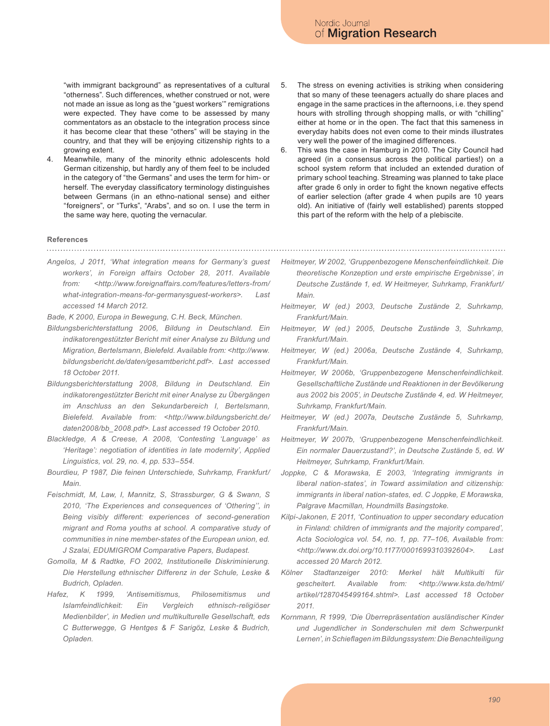"with immigrant background" as representatives of a cultural "otherness". Such differences, whether construed or not, were not made an issue as long as the "guest workers'" remigrations were expected. They have come to be assessed by many commentators as an obstacle to the integration process since it has become clear that these "others" will be staying in the country, and that they will be enjoying citizenship rights to a growing extent.

- Meanwhile, many of the minority ethnic adolescents hold German citizenship, but hardly any of them feel to be included in the category of "the Germans" and uses the term for him- or herself. The everyday classificatory terminology distinguishes between Germans (in an ethno-national sense) and either "foreigners", or "Turks", "Arabs", and so on. I use the term in the same way here, quoting the vernacular. 4.
- The stress on evening activities is striking when considering that so many of these teenagers actually do share places and engage in the same practices in the afternoons, i.e. they spend hours with strolling through shopping malls, or with "chilling" either at home or in the open. The fact that this sameness in everyday habits does not even come to their minds illustrates very well the power of the imagined differences. 5.
- This was the case in Hamburg in 2010. The City Council had agreed (in a consensus across the political parties!) on a school system reform that included an extended duration of primary school teaching. Streaming was planned to take place after grade 6 only in order to fight the known negative effects of earlier selection (after grade 4 when pupils are 10 years old). An initiative of (fairly well established) parents stopped this part of the reform with the help of a plebiscite. 6.

## **References**

- <span id="page-8-17"></span>*Angelos, J 2011, 'What integration means for Germany's guest workers', in Foreign affairs October 28, 2011. Available*
- *from: <http://www.foreignaffairs.com/features/letters-from/ what-integration-means-for-germanysguest-workers>. Last accessed 14 March 2012.*
- <span id="page-8-19"></span>*Bade, K 2000, Europa in Bewegung, C.H. Beck, München.*
- <span id="page-8-9"></span>*Bildungsberichterstattung 2006, Bildung in Deutschland. Ein indikatorengestützter Bericht mit einer Analyse zu Bildung und Migration, Bertelsmann, Bielefeld. Available from: <http://www. bildungsbericht.de/daten/gesamtbericht.pdf>. Last accessed 18 October 2011.*
- <span id="page-8-10"></span>*Bildungsberichterstattung 2008, Bildung in Deutschland. Ein indikatorengestützter Bericht mit einer Analyse zu Übergängen im Anschluss an den Sekundarbereich I, Bertelsmann, Bielefeld. Available from: <http://www.bildungsbericht.de/ daten2008/bb\_2008.pdf>. Last accessed 19 October 2010.*
- <span id="page-8-16"></span>*Blackledge, A & Creese, A 2008, 'Contesting 'Language' as 'Heritage': negotiation of identities in late modernity', Applied Linguistics, vol. 29, no. 4, pp. 533–554.*
- <span id="page-8-14"></span>*Bourdieu, P 1987, Die feinen Unterschiede, Suhrkamp, Frankfurt/ Main.*
- <span id="page-8-15"></span>*Feischmidt, M, Law, I, Mannitz, S, Strassburger, G & Swann, S 2010, 'The Experiences and consequences of 'Othering'', in Being visibly different: experiences of second-generation migrant and Roma youths at school. A comparative study of communities in nine member-states of the European union, ed. J Szalai, EDUMIGROM Comparative Papers, Budapest.*
- <span id="page-8-13"></span>*Gomolla, M & Radtke, FO 2002, Institutionelle Diskriminierung. Die Herstellung ethnischer Differenz in der Schule, Leske & Budrich, Opladen.*
- <span id="page-8-1"></span>*Hafez, K 1999, 'Antisemitismus, Philosemitismus und Islamfeindlichkeit: Ein Vergleich ethnisch-religiöser Medienbilder', in Medien und multikulturelle Gesellschaft, eds C Butterwegge, G Hentges & F Sarigöz, Leske & Budrich, Opladen.*
- <span id="page-8-2"></span>*Heitmeyer, W 2002, 'Gruppenbezogene Menschenfeindlichkeit. Die theoretische Konzeption und erste empirische Ergebnisse', in Deutsche Zustände 1, ed. W Heitmeyer, Suhrkamp, Frankfurt/ Main.*
- <span id="page-8-3"></span>*Heitmeyer, W (ed.) 2003, Deutsche Zustände 2, Suhrkamp, Frankfurt/Main.*
- <span id="page-8-4"></span>*Heitmeyer, W (ed.) 2005, Deutsche Zustände 3, Suhrkamp, Frankfurt/Main.*
- <span id="page-8-5"></span>*Heitmeyer, W (ed.) 2006a, Deutsche Zustände 4, Suhrkamp, Frankfurt/Main.*
- <span id="page-8-6"></span>*Heitmeyer, W 2006b, 'Gruppenbezogene Menschenfeindlichkeit. Gesellschaftliche Zustände und Reaktionen in der Bevölkerung aus 2002 bis 2005', in Deutsche Zustände 4, ed. W Heitmeyer, Suhrkamp, Frankfurt/Main.*
- <span id="page-8-7"></span>*Heitmeyer, W (ed.) 2007a, Deutsche Zustände 5, Suhrkamp, Frankfurt/Main.*
- <span id="page-8-8"></span>*Heitmeyer, W 2007b, 'Gruppenbezogene Menschenfeindlichkeit. Ein normaler Dauerzustand?', in Deutsche Zustände 5, ed. W Heitmeyer, Suhrkamp, Frankfurt/Main.*
- <span id="page-8-18"></span>*Joppke, C & Morawska, E 2003, 'Integrating immigrants in liberal nation-states', in Toward assimilation and citizenship: immigrants in liberal nation-states, ed. C Joppke, E Morawska, Palgrave Macmillan, Houndmills Basingstoke.*
- <span id="page-8-12"></span>*Kilpi-Jakonen, E 2011, 'Continuation to upper secondary education in Finland: children of immigrants and the majority compared', Acta Sociologica vol. 54, no. 1, pp. 77–106, Available from: <http://www.dx.doi.org/10.1177/0001699310392604>. Last accessed 20 March 2012.*
- <span id="page-8-0"></span>*Kölner Stadtanzeiger 2010: Merkel hält Multikulti für gescheitert. Available from: <http://www.ksta.de/html/ artikel/1287045499164.shtml>. Last accessed 18 October 2011.*
- <span id="page-8-11"></span>*Kornmann, R 1999, 'Die Überrepräsentation ausländischer Kinder und Jugendlicher in Sonderschulen mit dem Schwerpunkt Lernen', in Schieflagen im Bildungssystem: Die Benachteiligung*